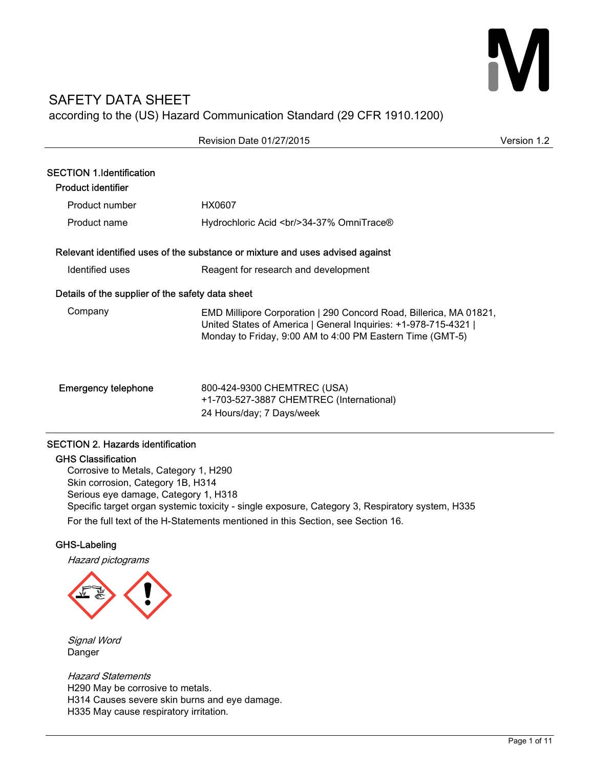# SAFETY DATA SHEET according to the (US) Hazard Communication Standard (29 CFR 1910.1200)

|                                                              | Revision Date 01/27/2015                                                                                                                                                                           | Version 1.2 |
|--------------------------------------------------------------|----------------------------------------------------------------------------------------------------------------------------------------------------------------------------------------------------|-------------|
| <b>SECTION 1.Identification</b><br><b>Product identifier</b> |                                                                                                                                                                                                    |             |
| Product number                                               | HX0607                                                                                                                                                                                             |             |
| Product name                                                 | Hydrochloric Acid<br><br><br>84-37% Omni<br>                                                                                                                                                       |             |
|                                                              | Relevant identified uses of the substance or mixture and uses advised against                                                                                                                      |             |
| Identified uses                                              | Reagent for research and development                                                                                                                                                               |             |
| Details of the supplier of the safety data sheet             |                                                                                                                                                                                                    |             |
| Company                                                      | EMD Millipore Corporation   290 Concord Road, Billerica, MA 01821,<br>United States of America   General Inquiries: +1-978-715-4321  <br>Monday to Friday, 9:00 AM to 4:00 PM Eastern Time (GMT-5) |             |
| <b>Emergency telephone</b>                                   | 800-424-9300 CHEMTREC (USA)<br>+1-703-527-3887 CHEMTREC (International)<br>24 Hours/day; 7 Days/week                                                                                               |             |

# SECTION 2. Hazards identification

# GHS Classification

Corrosive to Metals, Category 1, H290 Skin corrosion, Category 1B, H314 Serious eye damage, Category 1, H318 Specific target organ systemic toxicity - single exposure, Category 3, Respiratory system, H335 For the full text of the H-Statements mentioned in this Section, see Section 16.

# GHS-Labeling

Hazard pictograms



Signal Word Danger

Hazard Statements H290 May be corrosive to metals. H314 Causes severe skin burns and eye damage. H335 May cause respiratory irritation.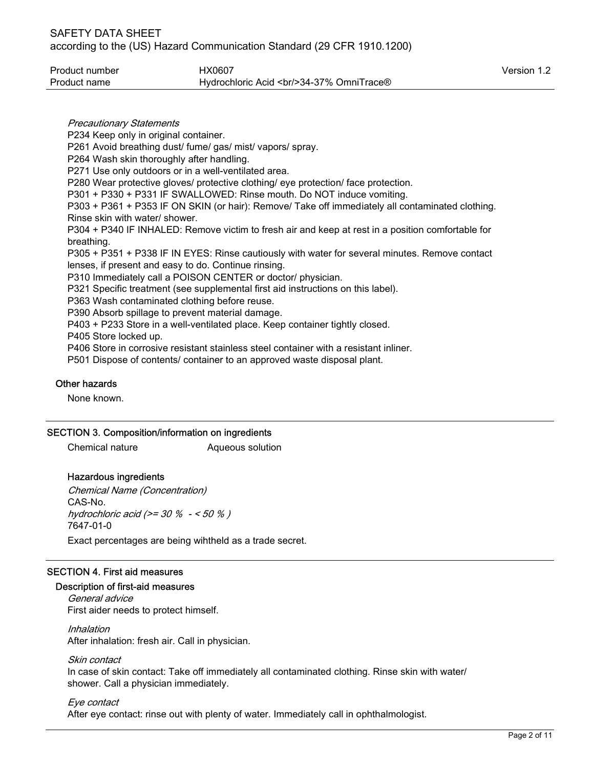| Product number | HX0607                                         | Version 1.2 |
|----------------|------------------------------------------------|-------------|
| Product name   | Hydrochloric Acid<br><br><br>84-37% OmniTrace® |             |

Precautionary Statements P234 Keep only in original container. P261 Avoid breathing dust/ fume/ gas/ mist/ vapors/ spray. P264 Wash skin thoroughly after handling. P271 Use only outdoors or in a well-ventilated area. P280 Wear protective gloves/ protective clothing/ eye protection/ face protection. P301 + P330 + P331 IF SWALLOWED: Rinse mouth. Do NOT induce vomiting. P303 + P361 + P353 IF ON SKIN (or hair): Remove/ Take off immediately all contaminated clothing. Rinse skin with water/ shower. P304 + P340 IF INHALED: Remove victim to fresh air and keep at rest in a position comfortable for breathing. P305 + P351 + P338 IF IN EYES: Rinse cautiously with water for several minutes. Remove contact lenses, if present and easy to do. Continue rinsing. P310 Immediately call a POISON CENTER or doctor/ physician. P321 Specific treatment (see supplemental first aid instructions on this label). P363 Wash contaminated clothing before reuse. P390 Absorb spillage to prevent material damage. P403 + P233 Store in a well-ventilated place. Keep container tightly closed. P405 Store locked up. P406 Store in corrosive resistant stainless steel container with a resistant inliner. P501 Dispose of contents/ container to an approved waste disposal plant.

### Other hazards

None known.

#### SECTION 3. Composition/information on ingredients

Chemical nature **Aqueous solution** 

# Hazardous ingredients

Chemical Name (Concentration) CAS-No. hydrochloric acid (>= 30 % - < 50 % ) 7647-01-0 Exact percentages are being wihtheld as a trade secret.

# SECTION 4. First aid measures

# Description of first-aid measures

General advice First aider needs to protect himself.

Inhalation After inhalation: fresh air. Call in physician.

Skin contact

In case of skin contact: Take off immediately all contaminated clothing. Rinse skin with water/ shower. Call a physician immediately.

Eye contact After eye contact: rinse out with plenty of water. Immediately call in ophthalmologist.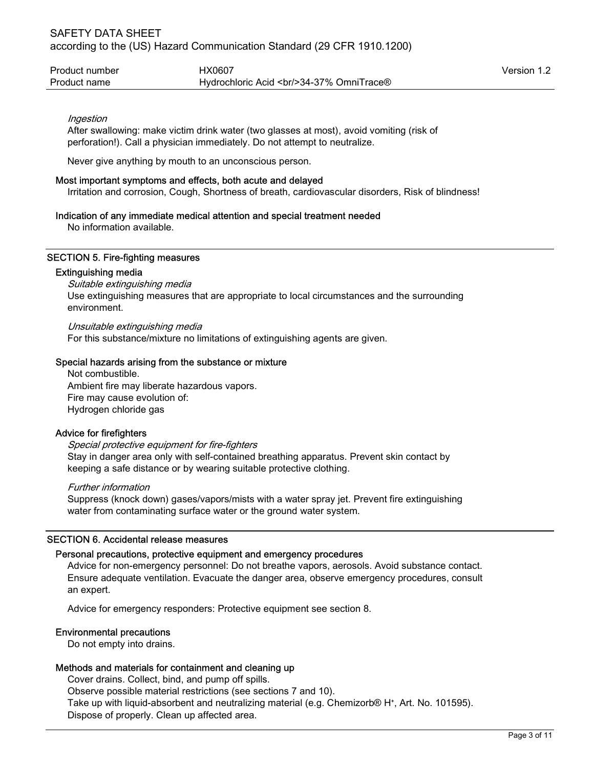| Product number | HX0607                                                     | Version 1.2 |
|----------------|------------------------------------------------------------|-------------|
| Product name   | Hydrochloric Acid<br><br><a>&gt;S4-37% Omni<br/>Trace®</a> |             |

#### Ingestion

After swallowing: make victim drink water (two glasses at most), avoid vomiting (risk of perforation!). Call a physician immediately. Do not attempt to neutralize.

Never give anything by mouth to an unconscious person.

#### Most important symptoms and effects, both acute and delayed

Irritation and corrosion, Cough, Shortness of breath, cardiovascular disorders, Risk of blindness!

#### Indication of any immediate medical attention and special treatment needed

No information available.

#### SECTION 5. Fire-fighting measures

#### Extinguishing media

Suitable extinguishing media Use extinguishing measures that are appropriate to local circumstances and the surrounding environment.

Unsuitable extinguishing media

For this substance/mixture no limitations of extinguishing agents are given.

#### Special hazards arising from the substance or mixture

Not combustible. Ambient fire may liberate hazardous vapors. Fire may cause evolution of: Hydrogen chloride gas

#### Advice for firefighters

#### Special protective equipment for fire-fighters

Stay in danger area only with self-contained breathing apparatus. Prevent skin contact by keeping a safe distance or by wearing suitable protective clothing.

#### Further information

Suppress (knock down) gases/vapors/mists with a water spray jet. Prevent fire extinguishing water from contaminating surface water or the ground water system.

#### SECTION 6. Accidental release measures

#### Personal precautions, protective equipment and emergency procedures

Advice for non-emergency personnel: Do not breathe vapors, aerosols. Avoid substance contact. Ensure adequate ventilation. Evacuate the danger area, observe emergency procedures, consult an expert.

Advice for emergency responders: Protective equipment see section 8.

#### Environmental precautions

Do not empty into drains.

#### Methods and materials for containment and cleaning up

Cover drains. Collect, bind, and pump off spills. Observe possible material restrictions (see sections 7 and 10). Take up with liquid-absorbent and neutralizing material (e.g. Chemizorb® H<sup>+</sup>, Art. No. 101595). Dispose of properly. Clean up affected area.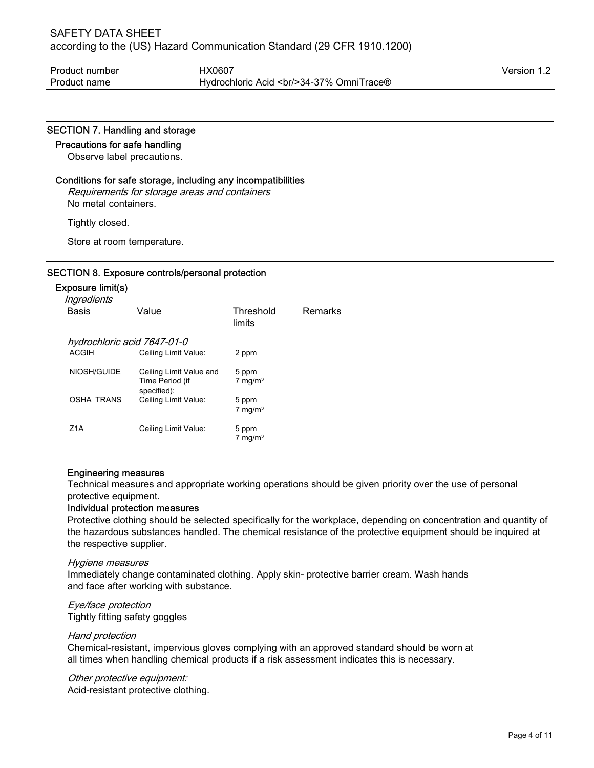#### SECTION 7. Handling and storage

#### Precautions for safe handling

Observe label precautions.

#### Conditions for safe storage, including any incompatibilities

Requirements for storage areas and containers No metal containers.

Tightly closed.

Store at room temperature.

#### SECTION 8. Exposure controls/personal protection

#### Exposure limit(s)

| Ingredients<br>Basis        | Value                                                     | Threshold<br>limits            | <b>Remarks</b> |
|-----------------------------|-----------------------------------------------------------|--------------------------------|----------------|
| hydrochloric acid 7647-01-0 |                                                           |                                |                |
| <b>ACGIH</b>                | Ceiling Limit Value:                                      | 2 ppm                          |                |
| NIOSH/GUIDE                 | Ceiling Limit Value and<br>Time Period (if<br>specified): | 5 ppm<br>$7 \text{ mg/m}^3$    |                |
| <b>OSHA TRANS</b>           | Ceiling Limit Value:                                      | 5 ppm<br>$7$ mg/m <sup>3</sup> |                |
| Z1A                         | Ceiling Limit Value:                                      | 5 ppm<br>7 mg/ $m3$            |                |

#### Engineering measures

Technical measures and appropriate working operations should be given priority over the use of personal protective equipment.

#### Individual protection measures

Protective clothing should be selected specifically for the workplace, depending on concentration and quantity of the hazardous substances handled. The chemical resistance of the protective equipment should be inquired at the respective supplier.

#### Hygiene measures

Immediately change contaminated clothing. Apply skin- protective barrier cream. Wash hands and face after working with substance.

### Eye/face protection Tightly fitting safety goggles

#### Hand protection

Chemical-resistant, impervious gloves complying with an approved standard should be worn at all times when handling chemical products if a risk assessment indicates this is necessary.

Other protective equipment:

Acid-resistant protective clothing.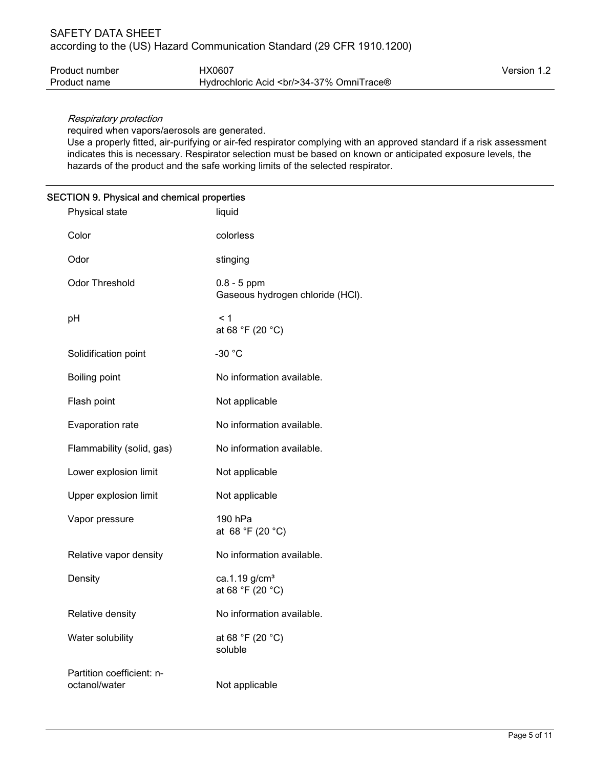| Product number | HX0607                                     | Version 1.2 |
|----------------|--------------------------------------------|-------------|
| Product name   | Hydrochloric Acid<br><br>24-37% OmniTrace® |             |

## Respiratory protection

required when vapors/aerosols are generated.

Use a properly fitted, air-purifying or air-fed respirator complying with an approved standard if a risk assessment indicates this is necessary. Respirator selection must be based on known or anticipated exposure levels, the hazards of the product and the safe working limits of the selected respirator.

# SECTION 9. Physical and chemical properties

| Physical state                             | liquid                                            |
|--------------------------------------------|---------------------------------------------------|
| Color                                      | colorless                                         |
| Odor                                       | stinging                                          |
| <b>Odor Threshold</b>                      | $0.8 - 5$ ppm<br>Gaseous hydrogen chloride (HCl). |
| pH                                         | < 1<br>at 68 °F (20 °C)                           |
| Solidification point                       | $-30 °C$                                          |
| Boiling point                              | No information available.                         |
| Flash point                                | Not applicable                                    |
| Evaporation rate                           | No information available.                         |
| Flammability (solid, gas)                  | No information available.                         |
| Lower explosion limit                      | Not applicable                                    |
| Upper explosion limit                      | Not applicable                                    |
| Vapor pressure                             | 190 hPa<br>at 68 °F (20 °C)                       |
| Relative vapor density                     | No information available.                         |
| Density                                    | ca.1.19 g/cm <sup>3</sup><br>at 68 °F (20 °C)     |
| Relative density                           | No information available.                         |
| Water solubility                           | at 68 °F (20 °C)<br>soluble                       |
| Partition coefficient: n-<br>octanol/water | Not applicable                                    |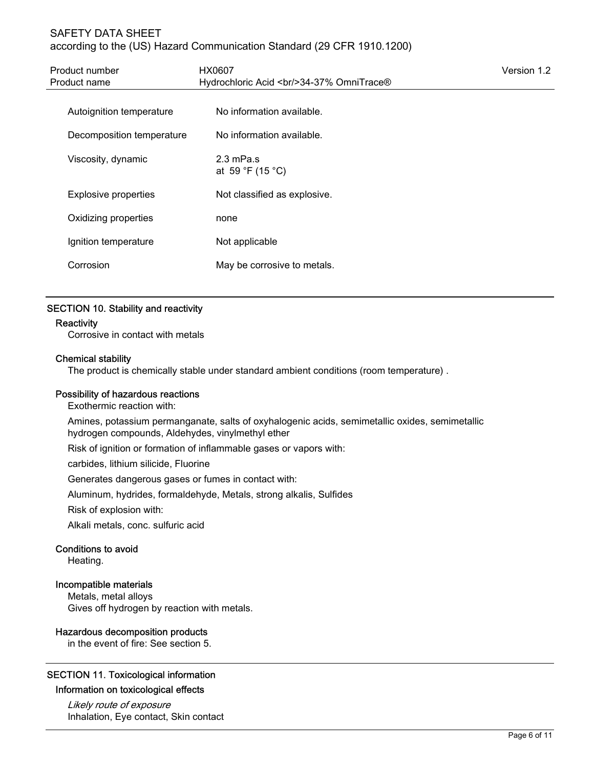# SAFETY DATA SHEET according to the (US) Hazard Communication Standard (29 CFR 1910.1200)

| Product number<br>Product name | HX0607<br>Hydrochloric Acid<br><br><br>84-37% Omni<br>Trace® | Version 1.2 |
|--------------------------------|--------------------------------------------------------------|-------------|
| Autoignition temperature       | No information available.                                    |             |
| Decomposition temperature      | No information available.                                    |             |
| Viscosity, dynamic             | $2.3 \text{ mPa.s}$<br>at 59 °F (15 °C)                      |             |
| <b>Explosive properties</b>    | Not classified as explosive.                                 |             |
| Oxidizing properties           | none                                                         |             |
| Ignition temperature           | Not applicable                                               |             |
| Corrosion                      | May be corrosive to metals.                                  |             |

# SECTION 10. Stability and reactivity

### **Reactivity**

Corrosive in contact with metals

#### Chemical stability

The product is chemically stable under standard ambient conditions (room temperature) .

#### Possibility of hazardous reactions

Exothermic reaction with:

Amines, potassium permanganate, salts of oxyhalogenic acids, semimetallic oxides, semimetallic hydrogen compounds, Aldehydes, vinylmethyl ether

Risk of ignition or formation of inflammable gases or vapors with:

carbides, lithium silicide, Fluorine

Generates dangerous gases or fumes in contact with:

Aluminum, hydrides, formaldehyde, Metals, strong alkalis, Sulfides

Risk of explosion with:

Alkali metals, conc. sulfuric acid

#### Conditions to avoid

Heating.

#### Incompatible materials

Metals, metal alloys Gives off hydrogen by reaction with metals.

#### Hazardous decomposition products

in the event of fire: See section 5.

# SECTION 11. Toxicological information

# Information on toxicological effects

Likely route of exposure Inhalation, Eye contact, Skin contact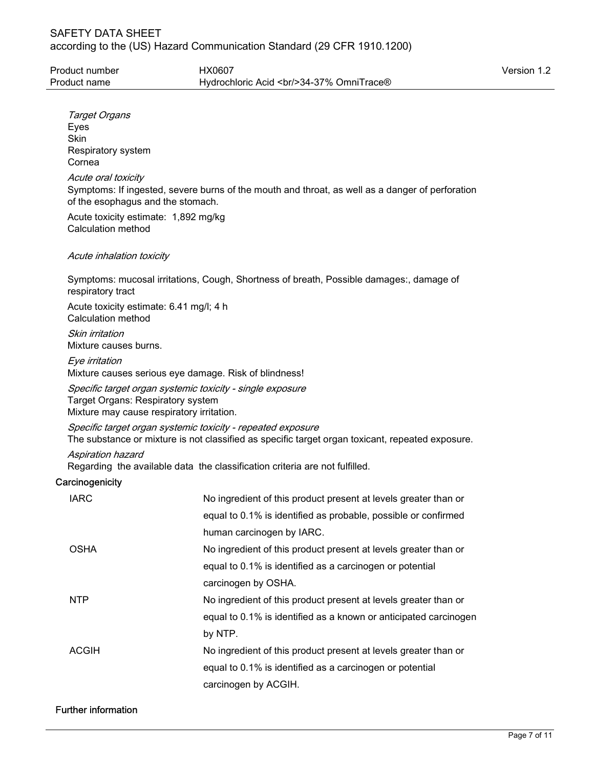| Target Organs<br>Eyes<br>Skin                                                                                                                                   |                                                                                         |  |  |
|-----------------------------------------------------------------------------------------------------------------------------------------------------------------|-----------------------------------------------------------------------------------------|--|--|
| Respiratory system<br>Cornea                                                                                                                                    |                                                                                         |  |  |
| Acute oral toxicity<br>Symptoms: If ingested, severe burns of the mouth and throat, as well as a danger of perforation<br>of the esophagus and the stomach.     |                                                                                         |  |  |
| Acute toxicity estimate: 1,892 mg/kg<br>Calculation method                                                                                                      |                                                                                         |  |  |
| Acute inhalation toxicity                                                                                                                                       |                                                                                         |  |  |
| respiratory tract                                                                                                                                               | Symptoms: mucosal irritations, Cough, Shortness of breath, Possible damages:, damage of |  |  |
| Acute toxicity estimate: 6.41 mg/l; 4 h<br>Calculation method                                                                                                   |                                                                                         |  |  |
| Skin irritation<br>Mixture causes burns.                                                                                                                        |                                                                                         |  |  |
| Eye irritation<br>Mixture causes serious eye damage. Risk of blindness!                                                                                         |                                                                                         |  |  |
| Specific target organ systemic toxicity - single exposure<br>Target Organs: Respiratory system<br>Mixture may cause respiratory irritation.                     |                                                                                         |  |  |
| Specific target organ systemic toxicity - repeated exposure<br>The substance or mixture is not classified as specific target organ toxicant, repeated exposure. |                                                                                         |  |  |
| <b>Aspiration hazard</b>                                                                                                                                        | Regarding the available data the classification criteria are not fulfilled.             |  |  |
| Carcinogenicity                                                                                                                                                 |                                                                                         |  |  |
| <b>IARC</b>                                                                                                                                                     | No ingredient of this product present at levels greater than or                         |  |  |
|                                                                                                                                                                 | equal to 0.1% is identified as probable, possible or confirmed                          |  |  |
|                                                                                                                                                                 | human carcinogen by IARC.                                                               |  |  |
| <b>OSHA</b>                                                                                                                                                     | No ingredient of this product present at levels greater than or                         |  |  |
|                                                                                                                                                                 | equal to 0.1% is identified as a carcinogen or potential                                |  |  |
|                                                                                                                                                                 | carcinogen by OSHA.                                                                     |  |  |
| <b>NTP</b>                                                                                                                                                      | No ingredient of this product present at levels greater than or                         |  |  |
|                                                                                                                                                                 | equal to 0.1% is identified as a known or anticipated carcinogen<br>by NTP.             |  |  |
| <b>ACGIH</b>                                                                                                                                                    | No ingredient of this product present at levels greater than or                         |  |  |
|                                                                                                                                                                 | equal to 0.1% is identified as a carcinogen or potential                                |  |  |
|                                                                                                                                                                 | carcinogen by ACGIH.                                                                    |  |  |
|                                                                                                                                                                 |                                                                                         |  |  |

# Further information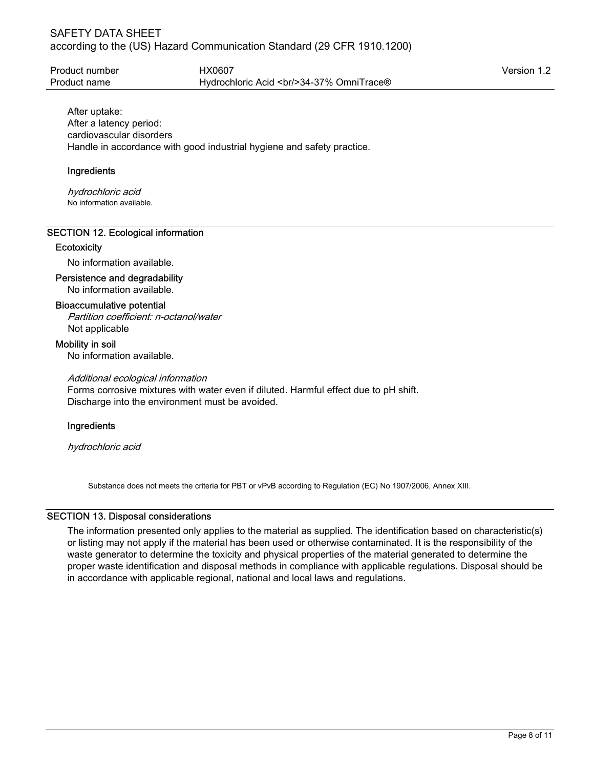| Product number | HX0607                                         | Version 1.2 |
|----------------|------------------------------------------------|-------------|
| Product name   | Hydrochloric Acid<br><br><br>84-37% OmniTrace® |             |

After uptake: After a latency period: cardiovascular disorders Handle in accordance with good industrial hygiene and safety practice.

## Ingredients

hydrochloric acid No information available.

### SECTION 12. Ecological information

#### **Ecotoxicity**

No information available.

### Persistence and degradability

No information available.

#### Bioaccumulative potential

Partition coefficient: n-octanol/water Not applicable

#### Mobility in soil

No information available.

#### Additional ecological information

Forms corrosive mixtures with water even if diluted. Harmful effect due to pH shift. Discharge into the environment must be avoided.

# Ingredients

hydrochloric acid

Substance does not meets the criteria for PBT or vPvB according to Regulation (EC) No 1907/2006, Annex XIII.

# SECTION 13. Disposal considerations

The information presented only applies to the material as supplied. The identification based on characteristic(s) or listing may not apply if the material has been used or otherwise contaminated. It is the responsibility of the waste generator to determine the toxicity and physical properties of the material generated to determine the proper waste identification and disposal methods in compliance with applicable regulations. Disposal should be in accordance with applicable regional, national and local laws and regulations.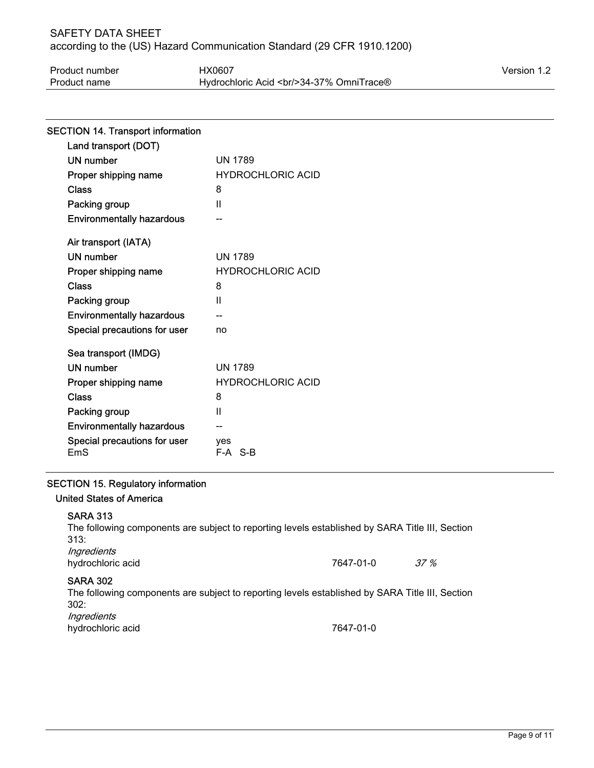# SAFETY DATA SHEET according to the (US) Hazard Communication Standard (29 CFR 1910.1200)

| Product number | HX0607                                         | Version 1.2 |
|----------------|------------------------------------------------|-------------|
| Product name   | Hydrochloric Acid<br><br><br>34-37% OmniTrace® |             |

| <b>SECTION 14. Transport information</b> |                          |
|------------------------------------------|--------------------------|
| Land transport (DOT)                     |                          |
| <b>UN number</b>                         | <b>UN 1789</b>           |
| Proper shipping name                     | <b>HYDROCHLORIC ACID</b> |
| Class                                    | 8                        |
| Packing group                            | $\mathbf{I}$             |
| <b>Environmentally hazardous</b>         |                          |
| Air transport (IATA)                     |                          |
| <b>UN number</b>                         | <b>UN 1789</b>           |
| Proper shipping name                     | <b>HYDROCHLORIC ACID</b> |
| Class                                    | 8                        |
| Packing group                            | Ш                        |
| <b>Environmentally hazardous</b>         |                          |
| Special precautions for user             | no                       |
| Sea transport (IMDG)                     |                          |
| <b>UN number</b>                         | <b>UN 1789</b>           |
| Proper shipping name                     | <b>HYDROCHLORIC ACID</b> |
| Class                                    | 8                        |
| Packing group                            | $\mathbf{I}$             |
| <b>Environmentally hazardous</b>         |                          |
| Special precautions for user<br>EmS      | ves<br>F-A S-B           |
|                                          |                          |

# SECTION 15. Regulatory information

# United States of America

#### SARA 313

| The following components are subject to reporting levels established by SARA Title III, Section<br>313: |           |         |
|---------------------------------------------------------------------------------------------------------|-----------|---------|
| Ingredients                                                                                             |           |         |
| hydrochloric acid                                                                                       | 7647-01-0 | $.37\%$ |
| <b>SARA 302</b>                                                                                         |           |         |
| The following components are subject to reporting levels established by SARA Title III, Section         |           |         |
| 302:                                                                                                    |           |         |

Ingredients

hydrochloric acid 7647-01-0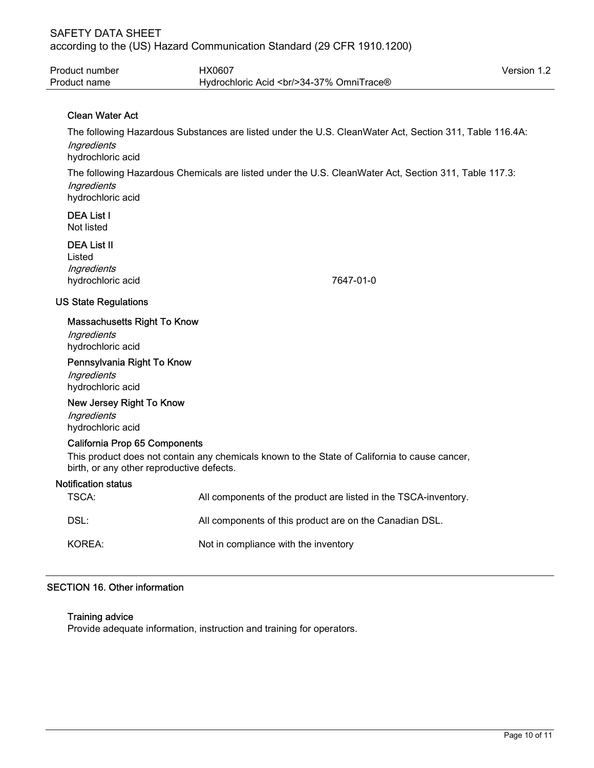| Product number | HX0607                                         | Version 1.2 |
|----------------|------------------------------------------------|-------------|
| Product name   | Hydrochloric Acid<br><br><br>84-37% OmniTrace® |             |

# Clean Water Act

The following Hazardous Substances are listed under the U.S. CleanWater Act, Section 311, Table 116.4A: **Ingredients** hydrochloric acid The following Hazardous Chemicals are listed under the U.S. CleanWater Act, Section 311, Table 117.3: **Ingredients** hydrochloric acid

# DEA List I

Not listed

# DEA List II

Listed **Ingredients** hydrochloric acid 7647-01-0

# US State Regulations

### Massachusetts Right To Know

**Ingredients** hydrochloric acid

#### Pennsylvania Right To Know

**Ingredients** hydrochloric acid

#### New Jersey Right To Know

**Ingredients** hydrochloric acid

#### California Prop 65 Components

This product does not contain any chemicals known to the State of California to cause cancer, birth, or any other reproductive defects.

#### Notification status

| TSCA:  | All components of the product are listed in the TSCA-inventory. |
|--------|-----------------------------------------------------------------|
| DSL:   | All components of this product are on the Canadian DSL.         |
| KOREA: | Not in compliance with the inventory                            |

# SECTION 16. Other information

#### Training advice

Provide adequate information, instruction and training for operators.